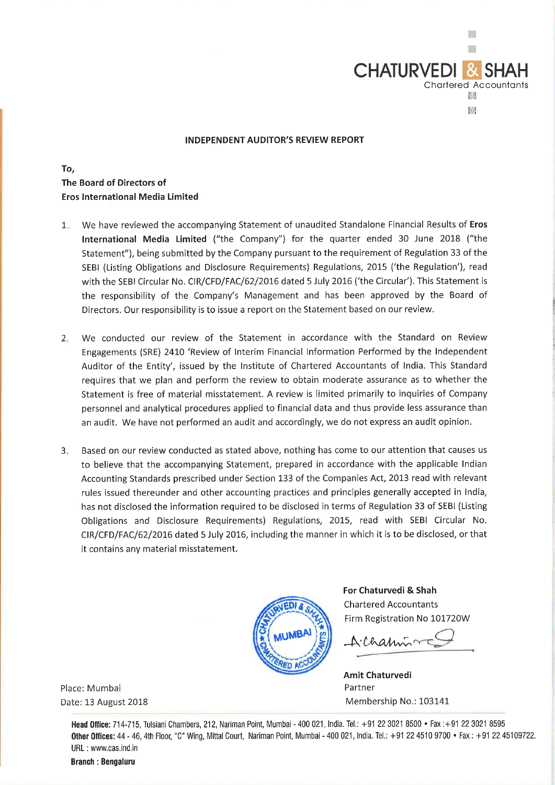

## **INDEPENDENT AUDITOR'S REVIEW REPORT**

**To, The Board of Directors of Eros International Media Limited** 

- 1. We have reviewed the accompanying Statement of unaudited Standalone Financial Results of **Eros International Media Limited** ("the Company") for the quarter ended 30 June 2018 ("the Statement"), being submitted by the Company pursuant to the requirement of Regulation 33 of the SEBI (Listing Obligations and Disclosure Requirements) Regulations, 2015 ('the Regulation'), read with the SEBI Circular No. CIR/CFD/FAC/62/2016 dated 5 July 2016 ('the Circular'). This Statement is the responsibility of the Company's Management and has been approved by the Board of Directors. Our responsibility is to issue a report on the Statement based on our review.
- 2. We conducted our review of the Statement in accordance with the Standard on Review Engagements (SRE) 2410 'Review of Interim Financial Information Performed by the Independent Auditor of the Entity', issued by the Institute of Chartered Accountants of India. This Standard requires that we plan and perform the review to obtain moderate assurance as to whether the Statement is free of material misstatement. A review is limited primarily to inquiries of Company personnel and analytical procedures applied to financial data and thus provide less assurance than an audit. We have not performed an audit and accordingly, we do not express an audit opinion.
- 3. Based on our review conducted as stated above, nothing has come to our attention that causes us to believe that the accompanying Statement, prepared in accordance with the applicable Indian Accounting Standards prescribed under Section 133 of the Companies Act, 2013 read with relevant rules issued thereunder and other accounting practices and principles generally accepted in India, has not disclosed the information required to be disclosed in terms of Regulation 33 of SEBI (Listing Obligations and Disclosure Requirements) Regulations, 2015, read with SEBI Circular No. CIR/CFD/FAC/62/2016 dated 5 July 2016, including the manner in which it is to be disclosed, or that it contains any material misstatement.



**For Chaturvedi & Shah**  Chartered Accountants Firm Registration No 101720W

Alhamin

**Amit Chaturvedi**  Partner Membership No.: 103141

Place: Mumbai Date: 13 August 2018

**Head Oflice:** 714-715, Tulsiani Chambers, 212, Nariman Point, Mumbai - 400 021 , India. Tel.: +91 22 3021 8500 • Fax : +91 22 3021 8595 Other Offices: 44 - 46, 4th Floor, "C" Wing, Mittal Court, Nariman Point, Mumbai - 400 021, India. Tel.: +91 22 4510 9700 • Fax: +91 22 45109722. URL : www.cas.ind.in

**Branch : Bengaluru**